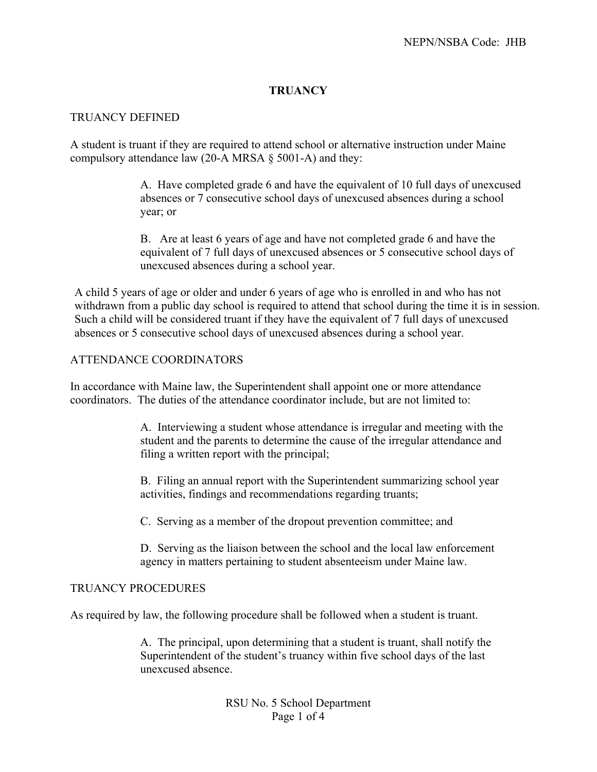## **TRUANCY**

### TRUANCY DEFINED

A student is truant if they are required to attend school or alternative instruction under Maine compulsory attendance law (20-A MRSA  $\S$  5001-A) and they:

> A. Have completed grade 6 and have the equivalent of 10 full days of unexcused absences or 7 consecutive school days of unexcused absences during a school year; or

B. Are at least 6 years of age and have not completed grade 6 and have the equivalent of 7 full days of unexcused absences or 5 consecutive school days of unexcused absences during a school year.

A child 5 years of age or older and under 6 years of age who is enrolled in and who has not withdrawn from a public day school is required to attend that school during the time it is in session. Such a child will be considered truant if they have the equivalent of 7 full days of unexcused absences or 5 consecutive school days of unexcused absences during a school year.

### ATTENDANCE COORDINATORS

In accordance with Maine law, the Superintendent shall appoint one or more attendance coordinators. The duties of the attendance coordinator include, but are not limited to:

> A. Interviewing a student whose attendance is irregular and meeting with the student and the parents to determine the cause of the irregular attendance and filing a written report with the principal;

B. Filing an annual report with the Superintendent summarizing school year activities, findings and recommendations regarding truants;

C. Serving as a member of the dropout prevention committee; and

D. Serving as the liaison between the school and the local law enforcement agency in matters pertaining to student absenteeism under Maine law.

#### TRUANCY PROCEDURES

As required by law, the following procedure shall be followed when a student is truant.

A. The principal, upon determining that a student is truant, shall notify the Superintendent of the student's truancy within five school days of the last unexcused absence.

> RSU No. 5 School Department Page 1 of 4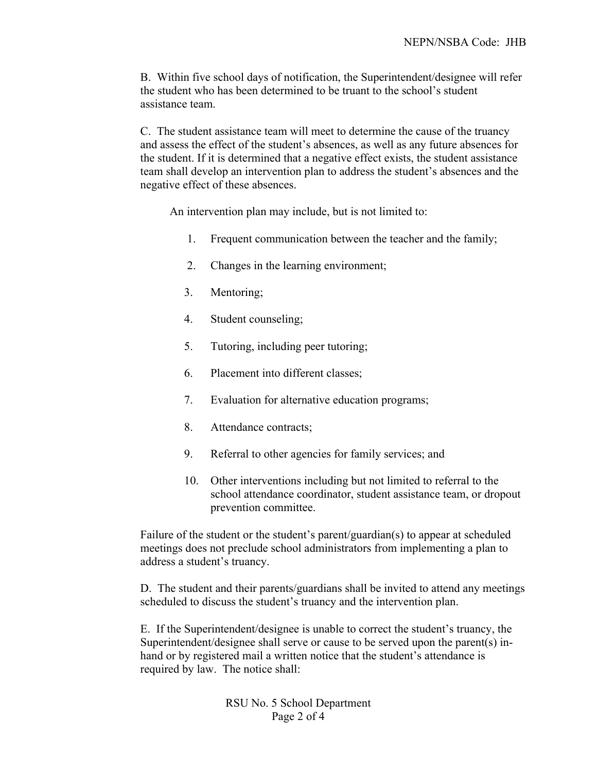B. Within five school days of notification, the Superintendent/designee will refer the student who has been determined to be truant to the school's student assistance team.

C. The student assistance team will meet to determine the cause of the truancy and assess the effect of the student's absences, as well as any future absences for the student. If it is determined that a negative effect exists, the student assistance team shall develop an intervention plan to address the student's absences and the negative effect of these absences.

An intervention plan may include, but is not limited to:

- 1. Frequent communication between the teacher and the family;
- 2. Changes in the learning environment;
- 3. Mentoring;
- 4. Student counseling;
- 5. Tutoring, including peer tutoring;
- 6. Placement into different classes;
- 7. Evaluation for alternative education programs;
- 8. Attendance contracts;
- 9. Referral to other agencies for family services; and
- 10. Other interventions including but not limited to referral to the school attendance coordinator, student assistance team, or dropout prevention committee.

Failure of the student or the student's parent/guardian(s) to appear at scheduled meetings does not preclude school administrators from implementing a plan to address a student's truancy.

D. The student and their parents/guardians shall be invited to attend any meetings scheduled to discuss the student's truancy and the intervention plan.

E. If the Superintendent/designee is unable to correct the student's truancy, the Superintendent/designee shall serve or cause to be served upon the parent(s) inhand or by registered mail a written notice that the student's attendance is required by law. The notice shall:

> RSU No. 5 School Department Page 2 of 4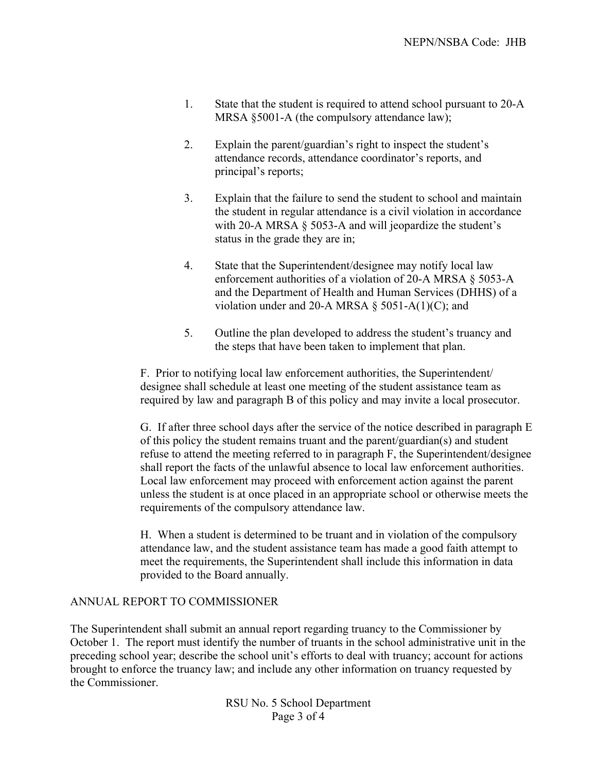- 1. State that the student is required to attend school pursuant to 20-A MRSA §5001-A (the compulsory attendance law);
- 2. Explain the parent/guardian's right to inspect the student's attendance records, attendance coordinator's reports, and principal's reports;
- 3. Explain that the failure to send the student to school and maintain the student in regular attendance is a civil violation in accordance with 20-A MRSA § 5053-A and will jeopardize the student's status in the grade they are in;
- 4. State that the Superintendent/designee may notify local law enforcement authorities of a violation of 20-A MRSA § 5053-A and the Department of Health and Human Services (DHHS) of a violation under and 20-A MRSA  $\S$  5051-A(1)(C); and
- 5. Outline the plan developed to address the student's truancy and the steps that have been taken to implement that plan.

F. Prior to notifying local law enforcement authorities, the Superintendent/ designee shall schedule at least one meeting of the student assistance team as required by law and paragraph B of this policy and may invite a local prosecutor.

G. If after three school days after the service of the notice described in paragraph E of this policy the student remains truant and the parent/guardian(s) and student refuse to attend the meeting referred to in paragraph F, the Superintendent/designee shall report the facts of the unlawful absence to local law enforcement authorities. Local law enforcement may proceed with enforcement action against the parent unless the student is at once placed in an appropriate school or otherwise meets the requirements of the compulsory attendance law.

H. When a student is determined to be truant and in violation of the compulsory attendance law, and the student assistance team has made a good faith attempt to meet the requirements, the Superintendent shall include this information in data provided to the Board annually.

# ANNUAL REPORT TO COMMISSIONER

The Superintendent shall submit an annual report regarding truancy to the Commissioner by October 1. The report must identify the number of truants in the school administrative unit in the preceding school year; describe the school unit's efforts to deal with truancy; account for actions brought to enforce the truancy law; and include any other information on truancy requested by the Commissioner.

> RSU No. 5 School Department Page 3 of 4